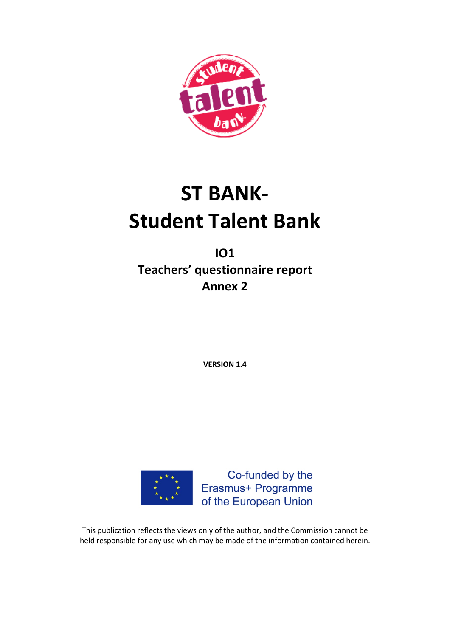

# **ST BANK-Student Talent Bank**

**IO1 Teachers' questionnaire report Annex 2**

**VERSION 1.4**



Co-funded by the Erasmus+ Programme of the European Union

This publication reflects the views only of the author, and the Commission cannot be held responsible for any use which may be made of the information contained herein.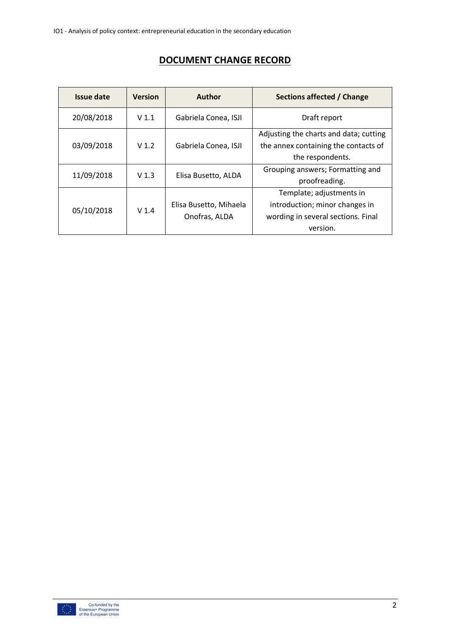# **DOCUMENT CHANGE RECORD**

| Issue date | <b>Version</b>   | <b>Author</b>          | Sections affected / Change                                                     |
|------------|------------------|------------------------|--------------------------------------------------------------------------------|
| 20/08/2018 | V <sub>1.1</sub> | Gabriela Conea, ISJI   | Draft report                                                                   |
| 03/09/2018 | V <sub>1.2</sub> | Gabriela Conea, ISJI   | Adjusting the charts and data; cutting<br>the annex containing the contacts of |
|            |                  |                        | the respondents.                                                               |
| 11/09/2018 | V <sub>1.3</sub> | Elisa Busetto, ALDA    | Grouping answers; Formatting and                                               |
|            |                  |                        | proofreading.                                                                  |
|            |                  |                        | Template; adjustments in                                                       |
| 05/10/2018 | V <sub>1.4</sub> | Elisa Busetto, Mihaela | introduction; minor changes in                                                 |
|            |                  | Onofras, ALDA          | wording in several sections. Final                                             |
|            |                  |                        | version.                                                                       |

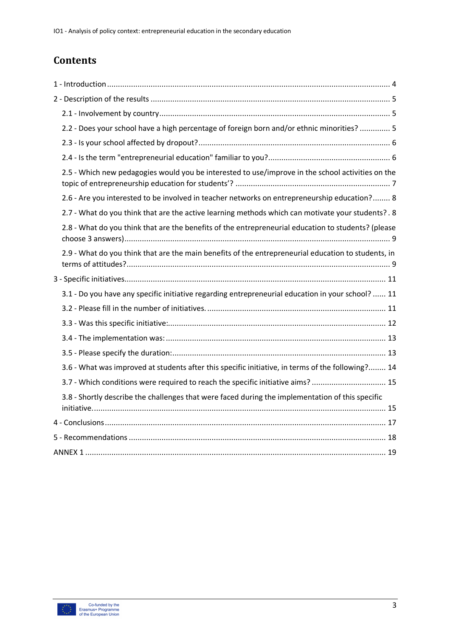# **Contents**

| 2.2 - Does your school have a high percentage of foreign born and/or ethnic minorities?  5          |
|-----------------------------------------------------------------------------------------------------|
|                                                                                                     |
|                                                                                                     |
| 2.5 - Which new pedagogies would you be interested to use/improve in the school activities on the   |
| 2.6 - Are you interested to be involved in teacher networks on entrepreneurship education? 8        |
| 2.7 - What do you think that are the active learning methods which can motivate your students?. 8   |
| 2.8 - What do you think that are the benefits of the entrepreneurial education to students? (please |
| 2.9 - What do you think that are the main benefits of the entrepreneurial education to students, in |
|                                                                                                     |
| 3.1 - Do you have any specific initiative regarding entrepreneurial education in your school?  11   |
|                                                                                                     |
|                                                                                                     |
|                                                                                                     |
|                                                                                                     |
| 3.6 - What was improved at students after this specific initiative, in terms of the following? 14   |
| 3.7 - Which conditions were required to reach the specific initiative aims?  15                     |
| 3.8 - Shortly describe the challenges that were faced during the implementation of this specific    |
|                                                                                                     |
|                                                                                                     |
|                                                                                                     |

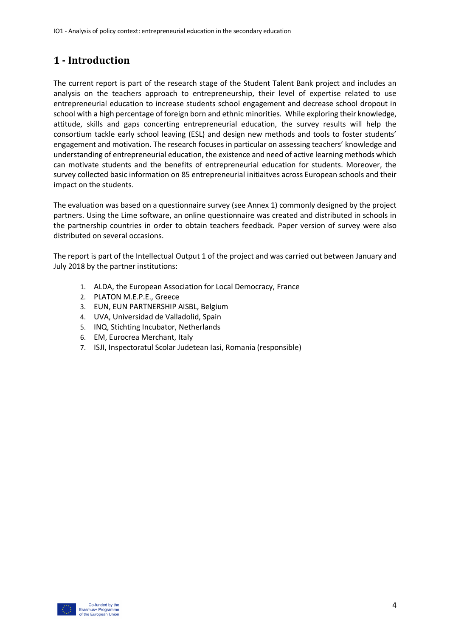# **1 - Introduction**

The current report is part of the research stage of the Student Talent Bank project and includes an analysis on the teachers approach to entrepreneurship, their level of expertise related to use entrepreneurial education to increase students school engagement and decrease school dropout in school with a high percentage of foreign born and ethnic minorities. While exploring their knowledge, attitude, skills and gaps concerting entrepreneurial education, the survey results will help the consortium tackle early school leaving (ESL) and design new methods and tools to foster students' engagement and motivation. The research focuses in particular on assessing teachers' knowledge and understanding of entrepreneurial education, the existence and need of active learning methods which can motivate students and the benefits of entrepreneurial education for students. Moreover, the survey collected basic information on 85 entrepreneurial initiaitves across European schools and their impact on the students.

The evaluation was based on a questionnaire survey (see Annex 1) commonly designed by the project partners. Using the Lime software, an online questionnaire was created and distributed in schools in the partnership countries in order to obtain teachers feedback. Paper version of survey were also distributed on several occasions.

The report is part of the Intellectual Output 1 of the project and was carried out between January and July 2018 by the partner institutions:

- 1. ALDA, the European Association for Local Democracy, France
- 2. PLATON M.E.P.E., Greece
- 3. EUN, EUN PARTNERSHIP AISBL, Belgium
- 4. UVA, Universidad de Valladolid, Spain
- 5. INQ, Stichting Incubator, Netherlands
- 6. EM, Eurocrea Merchant, Italy
- 7. ISJI, Inspectoratul Scolar Judetean Iasi, Romania (responsible)

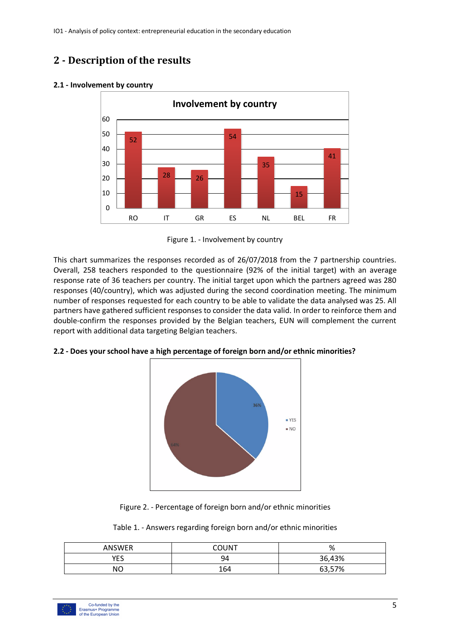# **2 - Description of the results**

#### 52  $28$   $26$ 54 35 15 41 0 10 20 30 40 50 60 RO IT GR ES NL BEL FR **Involvement by country**

## **2.1 - Involvement by country**

Figure 1. - Involvement by country

This chart summarizes the responses recorded as of 26/07/2018 from the 7 partnership countries. Overall, 258 teachers responded to the questionnaire (92% of the initial target) with an average response rate of 36 teachers per country. The initial target upon which the partners agreed was 280 responses (40/country), which was adjusted during the second coordination meeting. The minimum number of responses requested for each country to be able to validate the data analysed was 25. All partners have gathered sufficient responses to consider the data valid. In order to reinforce them and double-confirm the responses provided by the Belgian teachers, EUN will complement the current report with additional data targeting Belgian teachers.

## **2.2 - Does your school have a high percentage of foreign born and/or ethnic minorities?**





| Table 1. - Answers regarding foreign born and/or ethnic minorities |  |  |  |  |  |  |  |  |
|--------------------------------------------------------------------|--|--|--|--|--|--|--|--|
|--------------------------------------------------------------------|--|--|--|--|--|--|--|--|

| ANSWER | COUNT | $\Omega$<br>70 |
|--------|-------|----------------|
| YES    | 94    | 36,43%         |
| NΟ     | 164   | 63,57%         |

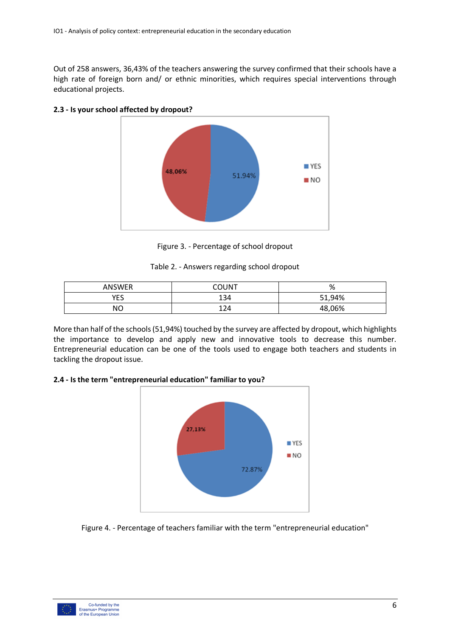Out of 258 answers, 36,43% of the teachers answering the survey confirmed that their schools have a high rate of foreign born and/ or ethnic minorities, which requires special interventions through educational projects.



## **2.3 - Is your school affected by dropout?**

Figure 3. - Percentage of school dropout

Table 2. - Answers regarding school dropout

| <b>ANSWER</b> | COUNT | 0/<br>70 |
|---------------|-------|----------|
| YES           | 134   | 51,94%   |
| NΟ            | 124   | 48,06%   |

More than half of the schools (51,94%) touched by the survey are affected by dropout, which highlights the importance to develop and apply new and innovative tools to decrease this number. Entrepreneurial education can be one of the tools used to engage both teachers and students in tackling the dropout issue.

## **2.4 - Is the term "entrepreneurial education" familiar to you?**



Figure 4. - Percentage of teachers familiar with the term "entrepreneurial education"

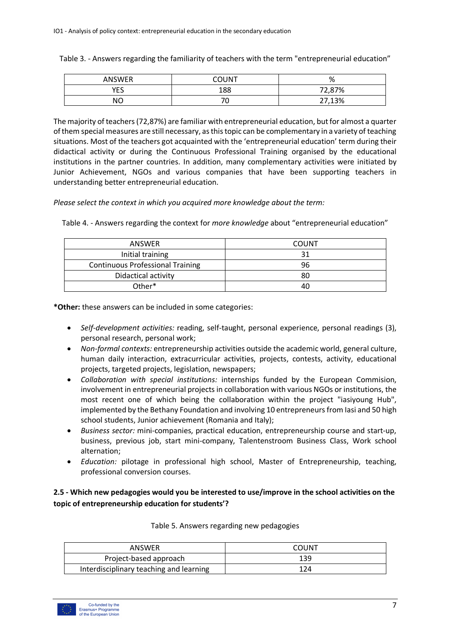Table 3. - Answers regarding the familiarity of teachers with the term "entrepreneurial education"

| <b>ANSWER</b> | COUNT | 01<br>70 |
|---------------|-------|----------|
| YES           | 188   | 72,87%   |
| NΟ            | ັ     | 27,13%   |

The majority of teachers (72,87%) are familiar with entrepreneurial education, but for almost a quarter of them special measures are still necessary, as this topic can be complementary in a variety of teaching situations. Most of the teachers got acquainted with the 'entrepreneurial education' term during their didactical activity or during the Continuous Professional Training organised by the educational institutions in the partner countries. In addition, many complementary activities were initiated by Junior Achievement, NGOs and various companies that have been supporting teachers in understanding better entrepreneurial education.

*Please select the context in which you acquired more knowledge about the term:*

| <b>ANSWER</b>                           | <b>COUNT</b> |
|-----------------------------------------|--------------|
| Initial training                        | 31           |
| <b>Continuous Professional Training</b> | 96           |
| Didactical activity                     | 80           |
| Other*                                  | 40           |

Table 4. - Answers regarding the context for *more knowledge* about "entrepreneurial education"

**\*Other:** these answers can be included in some categories:

- *Self-development activities:* reading, self-taught, personal experience, personal readings (3), personal research, personal work;
- *Non-formal contexts:* entrepreneurship activities outside the academic world, general culture, human daily interaction, extracurricular activities, projects, contests, activity, educational projects, targeted projects, legislation, newspapers;
- *Collaboration with special institutions:* internships funded by the European Commision, involvement in entrepreneurial projects in collaboration with various NGOs or institutions, the most recent one of which being the collaboration within the project "iasiyoung Hub", implemented by the Bethany Foundation and involving 10 entrepreneurs from Iasi and 50 high school students, Junior achievement (Romania and Italy);
- *Business sector:* mini-companies, practical education, entrepreneurship course and start-up, business, previous job, start mini-company, Talentenstroom Business Class, Work school alternation;
- *Education:* pilotage in professional high school, Master of Entrepreneurship, teaching, professional conversion courses.

**2.5 - Which new pedagogies would you be interested to use/improve in the school activities on the topic of entrepreneurship education for students'?**

| ANSWER                                  | COUNT |
|-----------------------------------------|-------|
| Project-based approach                  | 139   |
| Interdisciplinary teaching and learning | 124   |

Table 5. Answers regarding new pedagogies

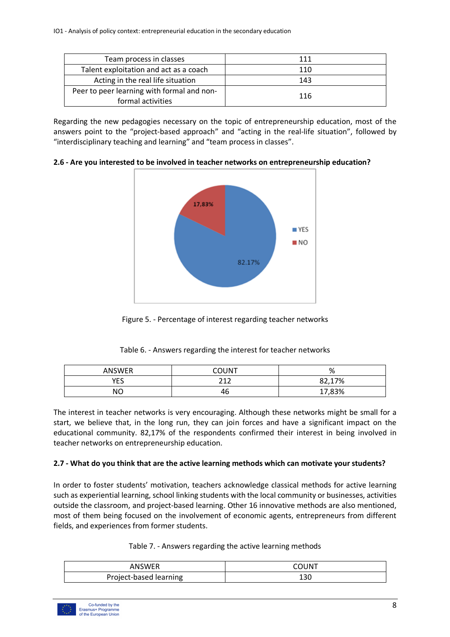| Team process in classes                                         | 111 |
|-----------------------------------------------------------------|-----|
| Talent exploitation and act as a coach                          | 110 |
| Acting in the real life situation                               | 143 |
| Peer to peer learning with formal and non-<br>formal activities | 116 |

Regarding the new pedagogies necessary on the topic of entrepreneurship education, most of the answers point to the "project-based approach" and "acting in the real-life situation", followed by "interdisciplinary teaching and learning" and "team process in classes".

**2.6 - Are you interested to be involved in teacher networks on entrepreneurship education?**



Figure 5. - Percentage of interest regarding teacher networks

Table 6. - Answers regarding the interest for teacher networks

| ANSWER | COUNT     | %      |
|--------|-----------|--------|
| YES    | 212       | 82,17% |
| NΟ     | . .<br>46 | 17,83% |

The interest in teacher networks is very encouraging. Although these networks might be small for a start, we believe that, in the long run, they can join forces and have a significant impact on the educational community. 82,17% of the respondents confirmed their interest in being involved in teacher networks on entrepreneurship education.

## **2.7 - What do you think that are the active learning methods which can motivate your students?**

In order to foster students' motivation, teachers acknowledge classical methods for active learning such as experiential learning, school linking students with the local community or businesses, activities outside the classroom, and project-based learning. Other 16 innovative methods are also mentioned, most of them being focused on the involvement of economic agents, entrepreneurs from different fields, and experiences from former students.

|  | Table 7. - Answers regarding the active learning methods |  |
|--|----------------------------------------------------------|--|
|  |                                                          |  |

| ANSWER                 | <b>OLINT</b> |
|------------------------|--------------|
| Project-based learning | Tan          |

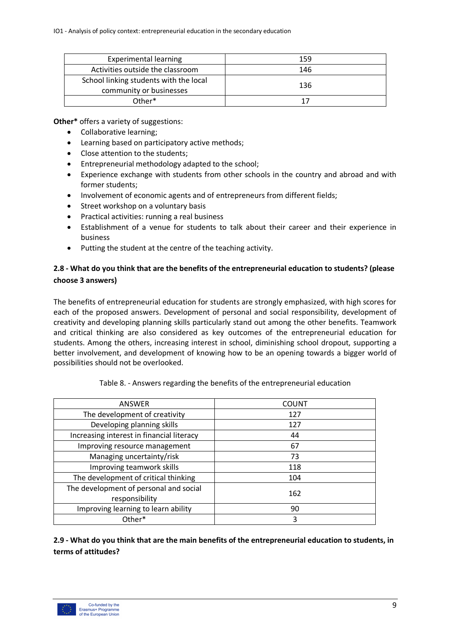| <b>Experimental learning</b>                                      | 159 |
|-------------------------------------------------------------------|-----|
| Activities outside the classroom                                  | 146 |
| School linking students with the local<br>community or businesses | 136 |
| Other*                                                            | 17  |

**Other\*** offers a variety of suggestions:

- Collaborative learning;
- Learning based on participatory active methods;
- Close attention to the students;
- Entrepreneurial methodology adapted to the school;
- Experience exchange with students from other schools in the country and abroad and with former students;
- Involvement of economic agents and of entrepreneurs from different fields;
- Street workshop on a voluntary basis
- Practical activities: running a real business
- Establishment of a venue for students to talk about their career and their experience in business
- Putting the student at the centre of the teaching activity.

## **2.8 - What do you think that are the benefits of the entrepreneurial education to students? (please choose 3 answers)**

The benefits of entrepreneurial education for students are strongly emphasized, with high scores for each of the proposed answers. Development of personal and social responsibility, development of creativity and developing planning skills particularly stand out among the other benefits. Teamwork and critical thinking are also considered as key outcomes of the entrepreneurial education for students. Among the others, increasing interest in school, diminishing school dropout, supporting a better involvement, and development of knowing how to be an opening towards a bigger world of possibilities should not be overlooked.

| ANSWER                                                   | <b>COUNT</b> |
|----------------------------------------------------------|--------------|
| The development of creativity                            | 127          |
| Developing planning skills                               | 127          |
| Increasing interest in financial literacy                | 44           |
| Improving resource management                            | 67           |
| Managing uncertainty/risk                                | 73           |
| Improving teamwork skills                                | 118          |
| The development of critical thinking                     | 104          |
| The development of personal and social<br>responsibility | 162          |
| Improving learning to learn ability                      | 90           |
| Other*                                                   | 3            |

**2.9 - What do you think that are the main benefits of the entrepreneurial education to students, in terms of attitudes?**

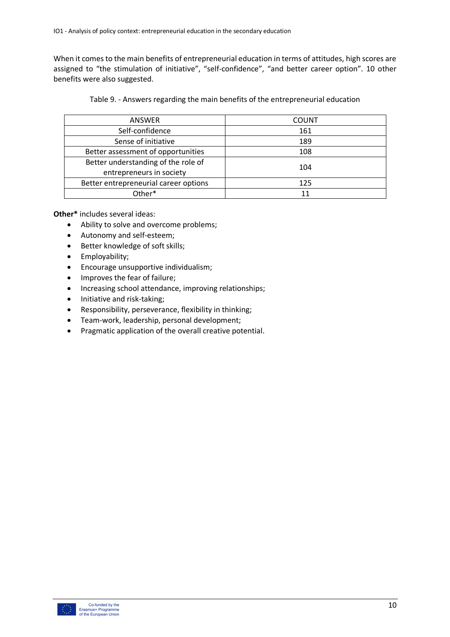When it comes to the main benefits of entrepreneurial education in terms of attitudes, high scores are assigned to "the stimulation of initiative", "self-confidence", "and better career option". 10 other benefits were also suggested.

Table 9. - Answers regarding the main benefits of the entrepreneurial education

| ANSWER                                | <b>COUNT</b> |  |
|---------------------------------------|--------------|--|
| Self-confidence                       | 161          |  |
| Sense of initiative                   | 189          |  |
| Better assessment of opportunities    | 108          |  |
| Better understanding of the role of   | 104          |  |
| entrepreneurs in society              |              |  |
| Better entrepreneurial career options | 125          |  |
| Other*                                | 11           |  |

**Other\*** includes several ideas:

- Ability to solve and overcome problems;
- Autonomy and self-esteem;
- Better knowledge of soft skills;
- Employability;
- Encourage unsupportive individualism;
- Improves the fear of failure;
- Increasing school attendance, improving relationships;
- Initiative and risk-taking;
- Responsibility, perseverance, flexibility in thinking;
- Team-work, leadership, personal development;
- Pragmatic application of the overall creative potential.

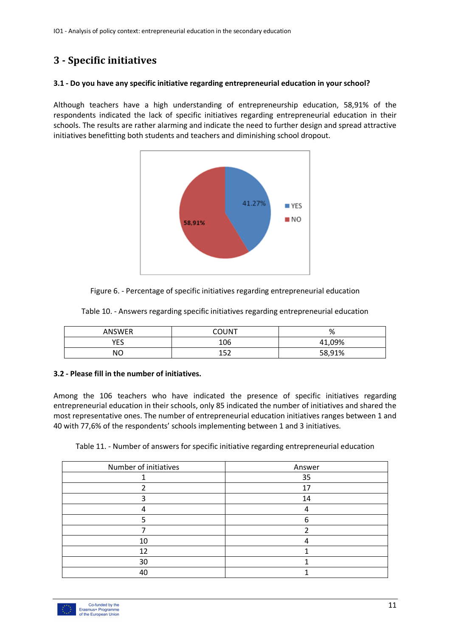# **3 - Specific initiatives**

## **3.1 - Do you have any specific initiative regarding entrepreneurial education in your school?**

Although teachers have a high understanding of entrepreneurship education, 58,91% of the respondents indicated the lack of specific initiatives regarding entrepreneurial education in their schools. The results are rather alarming and indicate the need to further design and spread attractive initiatives benefitting both students and teachers and diminishing school dropout.



Figure 6. - Percentage of specific initiatives regarding entrepreneurial education

|               | Table 10. - Answers regarding specific initiatives regarding entrepreneurial education |              |  |  |
|---------------|----------------------------------------------------------------------------------------|--------------|--|--|
| <b>ANSWER</b> | COLINT                                                                                 | $\mathbf{O}$ |  |  |

| ANSWER   | COUNT      | $\mathbf{O}$<br>70 |
|----------|------------|--------------------|
| VFS<br>ட | 106        | 09%                |
| NΟ       | 157<br>ᅩᆚᄼ | 58,91%             |

## **3.2 - Please fill in the number of initiatives.**

Among the 106 teachers who have indicated the presence of specific initiatives regarding entrepreneurial education in their schools, only 85 indicated the number of initiatives and shared the most representative ones. The number of entrepreneurial education initiatives ranges between 1 and 40 with 77,6% of the respondents' schools implementing between 1 and 3 initiatives.

Table 11. - Number of answers for specific initiative regarding entrepreneurial education

| Number of initiatives | Answer |
|-----------------------|--------|
|                       | 35     |
|                       | 17     |
|                       | 14     |
|                       |        |
|                       | հ      |
|                       |        |
| 10                    |        |
| 12                    |        |
| 30                    |        |
| 40                    |        |

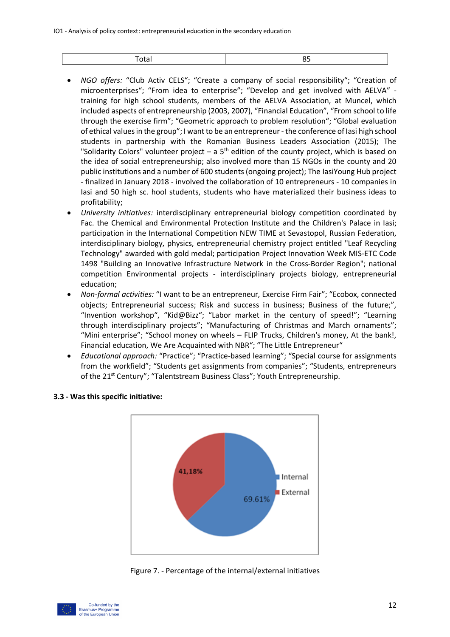| . |  |
|---|--|
|   |  |

- *NGO offers:* "Club Activ CELS"; "Create a company of social responsibility"; "Creation of microenterprises"; "From idea to enterprise"; "Develop and get involved with AELVA" training for high school students, members of the AELVA Association, at Muncel, which included aspects of entrepreneurship (2003, 2007), "Financial Education", "From school to life through the exercise firm"; "Geometric approach to problem resolution"; "Global evaluation of ethical values in the group"; I want to be an entrepreneur - the conference of Iasi high school students in partnership with the Romanian Business Leaders Association (2015); The "Solidarity Colors" volunteer project – a  $5<sup>th</sup>$  edition of the county project, which is based on the idea of social entrepreneurship; also involved more than 15 NGOs in the county and 20 public institutions and a number of 600 students (ongoing project); The IasiYoung Hub project - finalized in January 2018 - involved the collaboration of 10 entrepreneurs - 10 companies in Iasi and 50 high sc. hool students, students who have materialized their business ideas to profitability;
- *University initiatives:* interdisciplinary entrepreneurial biology competition coordinated by Fac. the Chemical and Environmental Protection Institute and the Children's Palace in Iasi; participation in the International Competition NEW TIME at Sevastopol, Russian Federation, interdisciplinary biology, physics, entrepreneurial chemistry project entitled "Leaf Recycling Technology" awarded with gold medal; participation Project Innovation Week MIS-ETC Code 1498 "Building an Innovative Infrastructure Network in the Cross-Border Region"; national competition Environmental projects - interdisciplinary projects biology, entrepreneurial education;
- *Non-formal activities:* "I want to be an entrepreneur, Exercise Firm Fair"; "Ecobox, connected objects; Entrepreneurial success; Risk and success in business; Business of the future;", "Invention workshop", "Kid@Bizz"; "Labor market in the century of speed!"; "Learning through interdisciplinary projects"; "Manufacturing of Christmas and March ornaments"; "Mini enterprise"; "School money on wheels – FLIP Trucks, Children's money, At the bank!, Financial education, We Are Acquainted with NBR"; "The Little Entrepreneur"
- *Educational approach:* "Practice"; "Practice-based learning"; "Special course for assignments from the workfield"; "Students get assignments from companies"; "Students, entrepreneurs of the 21<sup>st</sup> Century"; "Talentstream Business Class"; Youth Entrepreneurship.



## **3.3 - Was this specific initiative:**

Figure 7. - Percentage of the internal/external initiatives

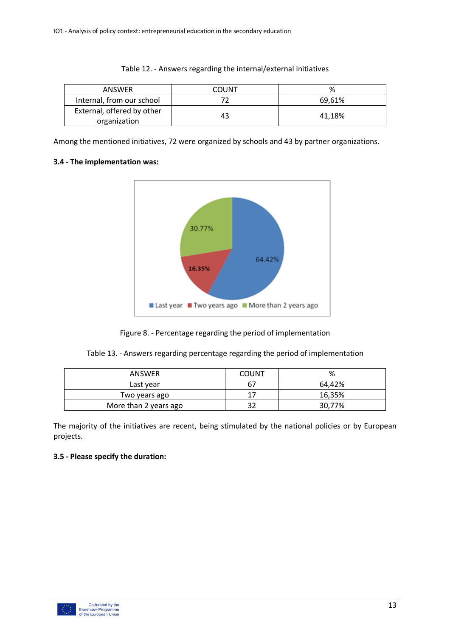|  |  |  | Table 12. - Answers regarding the internal/external initiatives |  |  |
|--|--|--|-----------------------------------------------------------------|--|--|
|--|--|--|-----------------------------------------------------------------|--|--|

| ANSWER                                     | COUNT | %      |
|--------------------------------------------|-------|--------|
| Internal, from our school                  |       | 69.61% |
| External, offered by other<br>organization |       | 41.18% |

Among the mentioned initiatives, 72 were organized by schools and 43 by partner organizations.

## **3.4 - The implementation was:**



Figure 8. - Percentage regarding the period of implementation

|  |  |  | Table 13. - Answers regarding percentage regarding the period of implementation |
|--|--|--|---------------------------------------------------------------------------------|
|  |  |  |                                                                                 |

| ANSWER                | COUNT | %      |
|-----------------------|-------|--------|
| Last year             | 67    | 64.42% |
| Two years ago         |       | 16,35% |
| More than 2 years ago |       | 30,77% |

The majority of the initiatives are recent, being stimulated by the national policies or by European projects.

## **3.5 - Please specify the duration:**

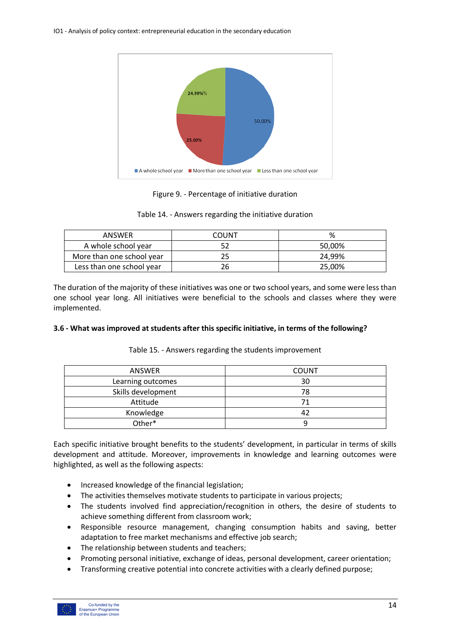

Figure 9. - Percentage of initiative duration

| Table 14. - Answers regarding the initiative duration |
|-------------------------------------------------------|
|-------------------------------------------------------|

| ANSWER                    | COUNT | %      |
|---------------------------|-------|--------|
| A whole school year       |       | 50,00% |
| More than one school year |       | 24,99% |
| Less than one school year |       | 25,00% |

The duration of the majority of these initiatives was one or two school years, and some were less than one school year long. All initiatives were beneficial to the schools and classes where they were implemented.

## **3.6 - What was improved at students after this specific initiative, in terms of the following?**

| <b>ANSWER</b>      | <b>COUNT</b> |
|--------------------|--------------|
| Learning outcomes  | 30           |
| Skills development | 78           |
| Attitude           | 71           |
| Knowledge          | 42           |
| Other*             |              |

Table 15. - Answers regarding the students improvement

Each specific initiative brought benefits to the students' development, in particular in terms of skills development and attitude. Moreover, improvements in knowledge and learning outcomes were highlighted, as well as the following aspects:

- Increased knowledge of the financial legislation;
- The activities themselves motivate students to participate in various projects;
- The students involved find appreciation/recognition in others, the desire of students to achieve something different from classroom work;
- Responsible resource management, changing consumption habits and saving, better adaptation to free market mechanisms and effective job search;
- The relationship between students and teachers;
- Promoting personal initiative, exchange of ideas, personal development, career orientation;
- Transforming creative potential into concrete activities with a clearly defined purpose;

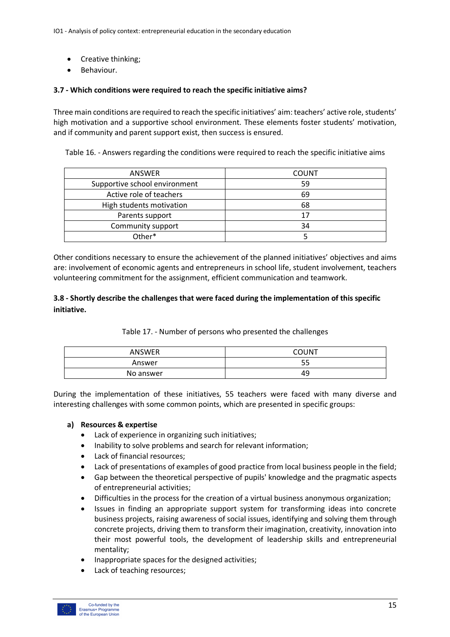- Creative thinking;
- Behaviour.

## **3.7 - Which conditions were required to reach the specific initiative aims?**

Three main conditions are required to reach the specific initiatives' aim: teachers' active role, students' high motivation and a supportive school environment. These elements foster students' motivation, and if community and parent support exist, then success is ensured.

Table 16. - Answers regarding the conditions were required to reach the specific initiative aims

| <b>ANSWER</b>                 | <b>COUNT</b> |
|-------------------------------|--------------|
| Supportive school environment | 59           |
| Active role of teachers       | 69           |
| High students motivation      | 68           |
| Parents support               | 17           |
| Community support             | 34           |
| Other*                        |              |

Other conditions necessary to ensure the achievement of the planned initiatives' objectives and aims are: involvement of economic agents and entrepreneurs in school life, student involvement, teachers volunteering commitment for the assignment, efficient communication and teamwork.

## **3.8 - Shortly describe the challenges that were faced during the implementation of this specific initiative.**

Table 17. - Number of persons who presented the challenges

| ANSWER    | COUNT     |
|-----------|-----------|
| Answer    | - -<br>ככ |
| No answer | 49        |

During the implementation of these initiatives, 55 teachers were faced with many diverse and interesting challenges with some common points, which are presented in specific groups:

## **a) Resources & expertise**

- Lack of experience in organizing such initiatives;
- Inability to solve problems and search for relevant information;
- Lack of financial resources;
- Lack of presentations of examples of good practice from local business people in the field;
- Gap between the theoretical perspective of pupils' knowledge and the pragmatic aspects of entrepreneurial activities;
- Difficulties in the process for the creation of a virtual business anonymous organization;
- Issues in finding an appropriate support system for transforming ideas into concrete business projects, raising awareness of social issues, identifying and solving them through concrete projects, driving them to transform their imagination, creativity, innovation into their most powerful tools, the development of leadership skills and entrepreneurial mentality;
- Inappropriate spaces for the designed activities;
- Lack of teaching resources;

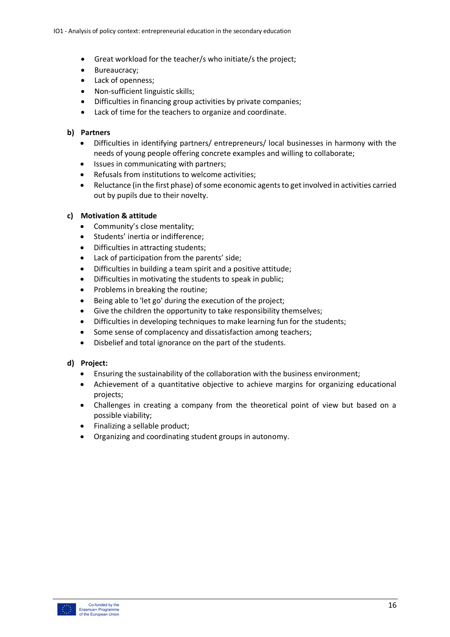- Great workload for the teacher/s who initiate/s the project;
- Bureaucracy;
- Lack of openness;
- Non-sufficient linguistic skills;
- Difficulties in financing group activities by private companies;
- Lack of time for the teachers to organize and coordinate.

## **b) Partners**

- Difficulties in identifying partners/ entrepreneurs/ local businesses in harmony with the needs of young people offering concrete examples and willing to collaborate;
- Issues in communicating with partners;
- Refusals from institutions to welcome activities;
- Reluctance (in the first phase) of some economic agents to get involved in activities carried out by pupils due to their novelty.

## **c) Motivation & attitude**

- Community's close mentality;
- Students' inertia or indifference;
- Difficulties in attracting students;
- Lack of participation from the parents' side;
- Difficulties in building a team spirit and a positive attitude;
- Difficulties in motivating the students to speak in public;
- Problems in breaking the routine;
- Being able to 'let go' during the execution of the project;
- Give the children the opportunity to take responsibility themselves;
- Difficulties in developing techniques to make learning fun for the students;
- Some sense of complacency and dissatisfaction among teachers;
- Disbelief and total ignorance on the part of the students.

## **d) Project:**

- Ensuring the sustainability of the collaboration with the business environment;
- Achievement of a quantitative objective to achieve margins for organizing educational projects;
- Challenges in creating a company from the theoretical point of view but based on a possible viability;
- Finalizing a sellable product;
- Organizing and coordinating student groups in autonomy.

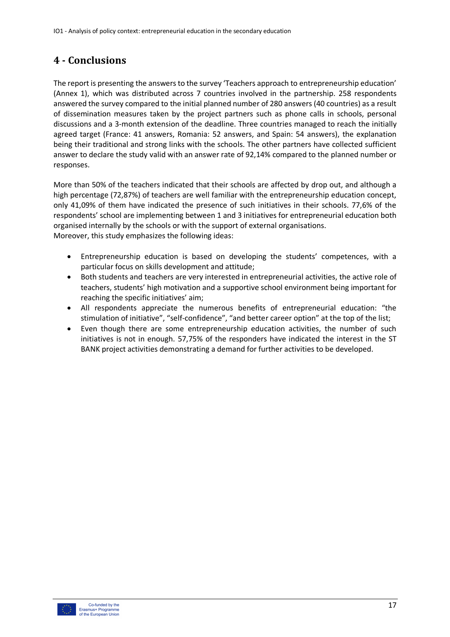# **4 - Conclusions**

The report is presenting the answers to the survey 'Teachers approach to entrepreneurship education' (Annex 1), which was distributed across 7 countries involved in the partnership. 258 respondents answered the survey compared to the initial planned number of 280 answers (40 countries) as a result of dissemination measures taken by the project partners such as phone calls in schools, personal discussions and a 3-month extension of the deadline. Three countries managed to reach the initially agreed target (France: 41 answers, Romania: 52 answers, and Spain: 54 answers), the explanation being their traditional and strong links with the schools. The other partners have collected sufficient answer to declare the study valid with an answer rate of 92,14% compared to the planned number or responses.

More than 50% of the teachers indicated that their schools are affected by drop out, and although a high percentage (72,87%) of teachers are well familiar with the entrepreneurship education concept, only 41,09% of them have indicated the presence of such initiatives in their schools. 77,6% of the respondents' school are implementing between 1 and 3 initiatives for entrepreneurial education both organised internally by the schools or with the support of external organisations. Moreover, this study emphasizes the following ideas:

- Entrepreneurship education is based on developing the students' competences, with a particular focus on skills development and attitude;
- Both students and teachers are very interested in entrepreneurial activities, the active role of teachers, students' high motivation and a supportive school environment being important for reaching the specific initiatives' aim;
- All respondents appreciate the numerous benefits of entrepreneurial education: "the stimulation of initiative", "self-confidence", "and better career option" at the top of the list;
- Even though there are some entrepreneurship education activities, the number of such initiatives is not in enough. 57,75% of the responders have indicated the interest in the ST BANK project activities demonstrating a demand for further activities to be developed.

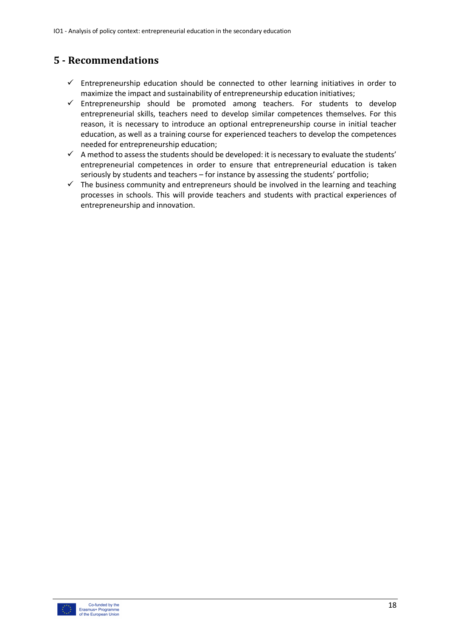# **5 - Recommendations**

- $\checkmark$  Entrepreneurship education should be connected to other learning initiatives in order to maximize the impact and sustainability of entrepreneurship education initiatives;
- $\checkmark$  Entrepreneurship should be promoted among teachers. For students to develop entrepreneurial skills, teachers need to develop similar competences themselves. For this reason, it is necessary to introduce an optional entrepreneurship course in initial teacher education, as well as a training course for experienced teachers to develop the competences needed for entrepreneurship education;
- $\checkmark$  A method to assess the students should be developed: it is necessary to evaluate the students' entrepreneurial competences in order to ensure that entrepreneurial education is taken seriously by students and teachers – for instance by assessing the students' portfolio;
- $\checkmark$  The business community and entrepreneurs should be involved in the learning and teaching processes in schools. This will provide teachers and students with practical experiences of entrepreneurship and innovation.

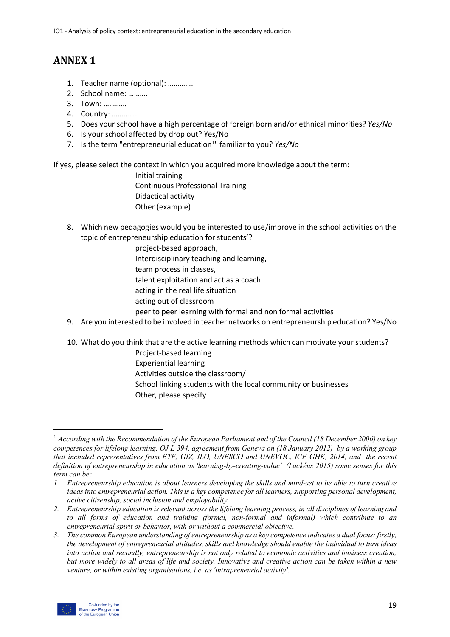# **ANNEX 1**

- 1. Teacher name (optional): ………….
- 2. School name: ……….
- 3. Town: …………
- 4. Country: ………….
- 5. Does your school have a high percentage of foreign born and/or ethnical minorities? *Yes/No*
- 6. Is your school affected by drop out? Yes/No
- 7. Is the term "entrepreneurial education<sup>1</sup>" familiar to you? *Yes/No*

If yes, please select the context in which you acquired more knowledge about the term:

 Initial training Continuous Professional Training Didactical activity Other (example)

- 8. Which new pedagogies would you be interested to use/improve in the school activities on the topic of entrepreneurship education for students'?
	- project-based approach,
	- Interdisciplinary teaching and learning,
	- team process in classes,
	- talent exploitation and act as a coach
	- acting in the real life situation
	- acting out of classroom
	- peer to peer learning with formal and non formal activities
- 9. Are you interested to be involved in teacher networks on entrepreneurship education? Yes/No
- 10. What do you think that are the active learning methods which can motivate your students?
	- Project-based learning Experiential learning Activities outside the classroom/ School linking students with the local community or businesses Other, please specify

*<sup>3.</sup> The common European understanding of entrepreneurship as a key competence indicates a dual focus: firstly, the development of entrepreneurial attitudes, skills and knowledge should enable the individual to turn ideas into action and secondly, entrepreneurship is not only related to economic activities and business creation, but more widely to all areas of life and society. Innovative and creative action can be taken within a new venture, or within existing organisations, i.e. as 'intrapreneurial activity'.*



 <sup>1</sup> *According with the Recommendation of the European Parliament and of the Council (18 December 2006) on key competences for lifelong learning. OJ L 394, agreement from Geneva on (18 January 2012) by a working group that included representatives from ETF, GIZ, ILO, UNESCO and UNEVOC, ICF GHK, 2014, and the recent definition of entrepreneurship in education as 'learning-by-creating-value' (Lackéus 2015) some senses for this term can be:*

*<sup>1.</sup> Entrepreneurship education is about learners developing the skills and mind-set to be able to turn creative ideas into entrepreneurial action. This is a key competence for all learners, supporting personal development, active citizenship, social inclusion and employability.* 

*<sup>2.</sup> Entrepreneurship education is relevant across the lifelong learning process, in all disciplines of learning and to all forms of education and training (formal, non-formal and informal) which contribute to an entrepreneurial spirit or behavior, with or without a commercial objective.*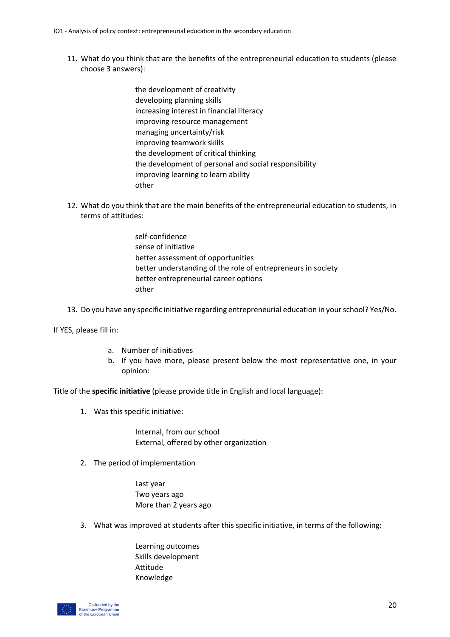- 11. What do you think that are the benefits of the entrepreneurial education to students (please choose 3 answers):
	- the development of creativity developing planning skills increasing interest in financial literacy improving resource management managing uncertainty/risk improving teamwork skills the development of critical thinking the development of personal and social responsibility improving learning to learn ability other
- 12. What do you think that are the main benefits of the entrepreneurial education to students, in terms of attitudes:
	- self-confidence sense of initiative better assessment of opportunities better understanding of the role of entrepreneurs in society better entrepreneurial career options other
- 13. Do you have any specific initiative regarding entrepreneurial education in your school? Yes/No.

If YES, please fill in:

- a. Number of initiatives
- b. If you have more, please present below the most representative one, in your opinion:

Title of the **specific initiative** (please provide title in English and local language):

1. Was this specific initiative:

 Internal, from our school External, offered by other organization

2. The period of implementation

 Last year Two years ago More than 2 years ago

- 3. What was improved at students after this specific initiative, in terms of the following:
	- Learning outcomes Skills development Attitude Knowledge